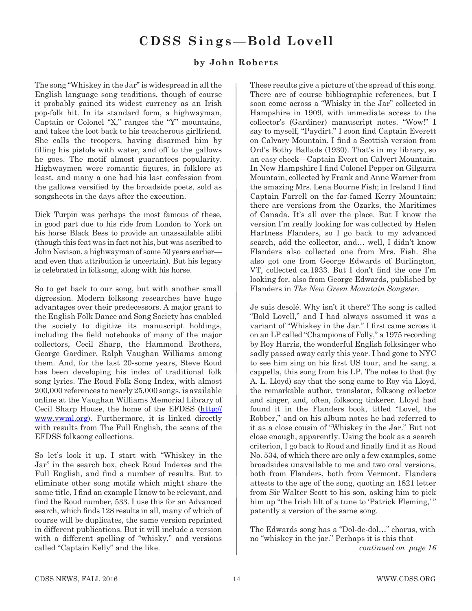# **CDSS Sings**—**Bold Lovell**

## **by John Roberts**

The song "Whiskey in the Jar" is widespread in all the English language song traditions, though of course it probably gained its widest currency as an Irish pop-folk hit. In its standard form, a highwayman, Captain or Colonel "X," ranges the "Y" mountains, and takes the loot back to his treacherous girlfriend. She calls the troopers, having disarmed him by filling his pistols with water, and off to the gallows he goes. The motif almost guarantees popularity. Highwaymen were romantic figures, in folklore at least, and many a one had his last confession from the gallows versified by the broadside poets, sold as songsheets in the days after the execution.

Dick Turpin was perhaps the most famous of these, in good part due to his ride from London to York on his horse Black Bess to provide an unassailable alibi (though this feat was in fact not his, but was ascribed to John Nevison, a highwayman of some 50 years earlier and even that attribution is uncertain). But his legacy is celebrated in folksong, along with his horse.

So to get back to our song, but with another small digression. Modern folksong researches have huge advantages over their predecessors. A major grant to the English Folk Dance and Song Society has enabled the society to digitize its manuscript holdings, including the field notebooks of many of the major collectors, Cecil Sharp, the Hammond Brothers, George Gardiner, Ralph Vaughan Williams among them. And, for the last 20-some years, Steve Roud has been developing his index of traditional folk song lyrics. The Roud Folk Song Index, with almost 200,000 references to nearly 25,000 songs, is available online at the Vaughan Williams Memorial Library of Cecil Sharp House, the home of the EFDSS (http:// www.vwml.org). Furthermore, it is linked directly with results from The Full English, the scans of the EFDSS folksong collections.

So let's look it up. I start with "Whiskey in the Jar" in the search box, check Roud Indexes and the Full English, and find a number of results. But to eliminate other song motifs which might share the same title, I find an example I know to be relevant, and find the Roud number, 533. I use this for an Advanced search, which finds 128 results in all, many of which of course will be duplicates, the same version reprinted in different publications. But it will include a version with a different spelling of "whisky," and versions called "Captain Kelly" and the like.

These results give a picture of the spread of this song. There are of course bibliographic references, but I soon come across a "Whisky in the Jar" collected in Hampshire in 1909, with immediate access to the collector's (Gardiner) manuscript notes. "Wow!" I say to myself, "Paydirt." I soon find Captain Everett on Calvary Mountain. I find a Scottish version from Ord's Bothy Ballads (1930). That's in my library, so an easy check—Captain Evert on Calvert Mountain. In New Hampshire I find Colonel Pepper on Gilgarra Mountain, collected by Frank and Anne Warner from the amazing Mrs. Lena Bourne Fish; in Ireland I find Captain Farrell on the far-famed Kerry Mountain; there are versions from the Ozarks, the Maritimes of Canada. It's all over the place. But I know the version I'm really looking for was collected by Helen Hartness Flanders, so I go back to my advanced search, add the collector, and… well, I didn't know Flanders also collected one from Mrs. Fish. She also got one from George Edwards of Burlington, VT, collected ca.1933. But I don't find the one I'm looking for, also from George Edwards, published by Flanders in *The New Green Mountain Songster*.

Je suis desolé. Why isn't it there? The song is called "Bold Lovell," and I had always assumed it was a variant of "Whiskey in the Jar." I first came across it on an LP called "Champions of Folly," a 1975 recording by Roy Harris, the wonderful English folksinger who sadly passed away early this year. I had gone to NYC to see him sing on his first US tour, and he sang, a cappella, this song from his LP. The notes to that (by A. L. Lloyd) say that the song came to Roy via Lloyd, the remarkable author, translator, folksong collector and singer, and, often, folksong tinkerer. Lloyd had found it in the Flanders book, titled "Lovel, the Robber," and on his album notes he had referred to it as a close cousin of "Whiskey in the Jar." But not close enough, apparently. Using the book as a search criterion, I go back to Roud and finally find it as Roud No. 534, of which there are only a few examples, some broadsides unavailable to me and two oral versions, both from Flanders, both from Vermont. Flanders attests to the age of the song, quoting an 1821 letter from Sir Walter Scott to his son, asking him to pick him up "the Irish lilt of a tune to 'Patrick Fleming,'" patently a version of the same song.

The Edwards song has a "Dol-de-dol…" chorus, with no "whiskey in the jar." Perhaps it is this that *continued on page 16*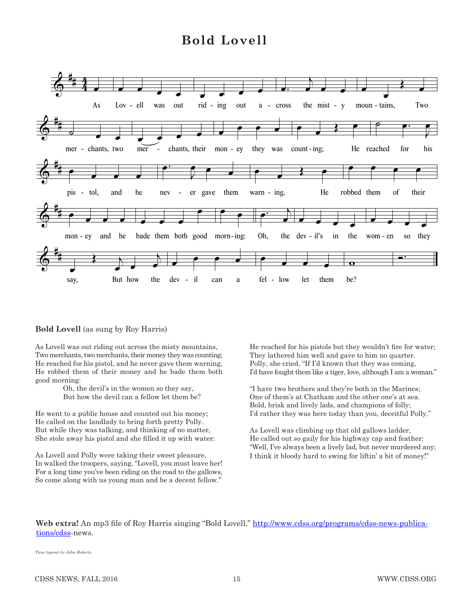## **Bold Lovell Bold Lovell**



#### **Bold Lovell** (as sung by Roy Harris)

As Lovell was out riding out across the misty mountains, Two merchants, two merchants, their money they was counting; He reached for his pistol, and he never gave them warning, He robbed them of their money and he bade them both good morning:

> Oh, the devil's in the women so they say, But how the devil can a fellow let them be?

He went to a public house and counted out his money; He called on the landlady to bring forth pretty Polly. But while they was talking, and thinking of no matter, She stole away his pistol and she filled it up with water:

As Lovell and Polly were taking their sweet pleasure, In walked the troopers, saying, "Lovell, you must leave her! For a long time you've been riding on the road to the gallows, So come along with us young man and be a decent fellow."

He reached for his pistols but they wouldn't fire for water; They lathered him well and gave to him no quarter. Polly, she cried, "If I'd known that they was coming, I'd have fought them like a tiger, love, although I am a woman."

"I have two brothers and they're both in the Marines; One of them's at Chatham and the other one's at sea. Bold, brisk and lively lads, and champions of folly; I'd rather they was here today than you, deceitful Polly."

As Lovell was climbing up that old gallows ladder, He called out so gaily for his highway cap and feather: "Well, I've always been a lively lad, but never murdered any; I think it bloody hard to swing for liftin' a bit of money!"

**Web extra!** An mp3 file of Roy Harris singing "Bold Lovell," http://www.cdss.org/programs/cdss-news-publications/cdss-news.

*Tune typeset by John Roberts*